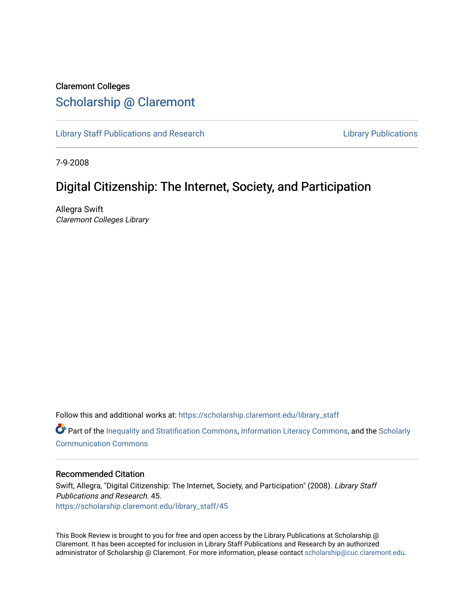## Claremont Colleges [Scholarship @ Claremont](https://scholarship.claremont.edu/)

[Library Staff Publications and Research](https://scholarship.claremont.edu/library_staff) [Library Publications](https://scholarship.claremont.edu/library_pub) 

7-9-2008

## Digital Citizenship: The Internet, Society, and Participation

Allegra Swift Claremont Colleges Library

Follow this and additional works at: [https://scholarship.claremont.edu/library\\_staff](https://scholarship.claremont.edu/library_staff?utm_source=scholarship.claremont.edu%2Flibrary_staff%2F45&utm_medium=PDF&utm_campaign=PDFCoverPages)

**C** Part of the [Inequality and Stratification Commons](http://network.bepress.com/hgg/discipline/421?utm_source=scholarship.claremont.edu%2Flibrary_staff%2F45&utm_medium=PDF&utm_campaign=PDFCoverPages), [Information Literacy Commons](http://network.bepress.com/hgg/discipline/1243?utm_source=scholarship.claremont.edu%2Flibrary_staff%2F45&utm_medium=PDF&utm_campaign=PDFCoverPages), and the [Scholarly](http://network.bepress.com/hgg/discipline/1272?utm_source=scholarship.claremont.edu%2Flibrary_staff%2F45&utm_medium=PDF&utm_campaign=PDFCoverPages) [Communication Commons](http://network.bepress.com/hgg/discipline/1272?utm_source=scholarship.claremont.edu%2Flibrary_staff%2F45&utm_medium=PDF&utm_campaign=PDFCoverPages)

## Recommended Citation

Swift, Allegra, "Digital Citizenship: The Internet, Society, and Participation" (2008). Library Staff Publications and Research. 45. [https://scholarship.claremont.edu/library\\_staff/45](https://scholarship.claremont.edu/library_staff/45?utm_source=scholarship.claremont.edu%2Flibrary_staff%2F45&utm_medium=PDF&utm_campaign=PDFCoverPages) 

This Book Review is brought to you for free and open access by the Library Publications at Scholarship @ Claremont. It has been accepted for inclusion in Library Staff Publications and Research by an authorized administrator of Scholarship @ Claremont. For more information, please contact [scholarship@cuc.claremont.edu.](mailto:scholarship@cuc.claremont.edu)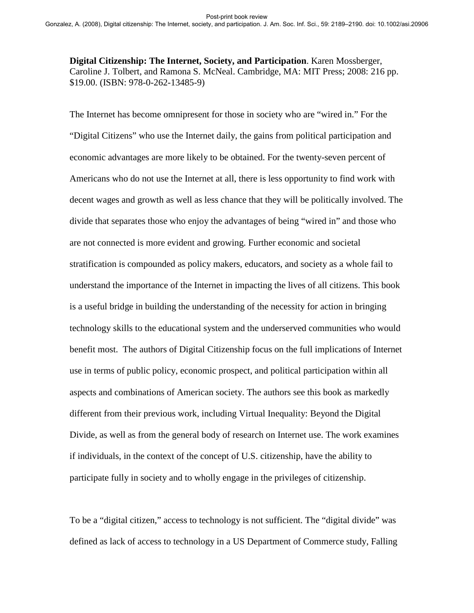**Digital Citizenship: The Internet, Society, and Participation**. Karen Mossberger, Caroline J. Tolbert, and Ramona S. McNeal. Cambridge, MA: MIT Press; 2008: 216 pp. \$19.00. (ISBN: 978-0-262-13485-9)

The Internet has become omnipresent for those in society who are "wired in." For the "Digital Citizens" who use the Internet daily, the gains from political participation and economic advantages are more likely to be obtained. For the twenty-seven percent of Americans who do not use the Internet at all, there is less opportunity to find work with decent wages and growth as well as less chance that they will be politically involved. The divide that separates those who enjoy the advantages of being "wired in" and those who are not connected is more evident and growing. Further economic and societal stratification is compounded as policy makers, educators, and society as a whole fail to understand the importance of the Internet in impacting the lives of all citizens. This book is a useful bridge in building the understanding of the necessity for action in bringing technology skills to the educational system and the underserved communities who would benefit most. The authors of Digital Citizenship focus on the full implications of Internet use in terms of public policy, economic prospect, and political participation within all aspects and combinations of American society. The authors see this book as markedly different from their previous work, including Virtual Inequality: Beyond the Digital Divide, as well as from the general body of research on Internet use. The work examines if individuals, in the context of the concept of U.S. citizenship, have the ability to participate fully in society and to wholly engage in the privileges of citizenship.

To be a "digital citizen," access to technology is not sufficient. The "digital divide" was defined as lack of access to technology in a US Department of Commerce study, Falling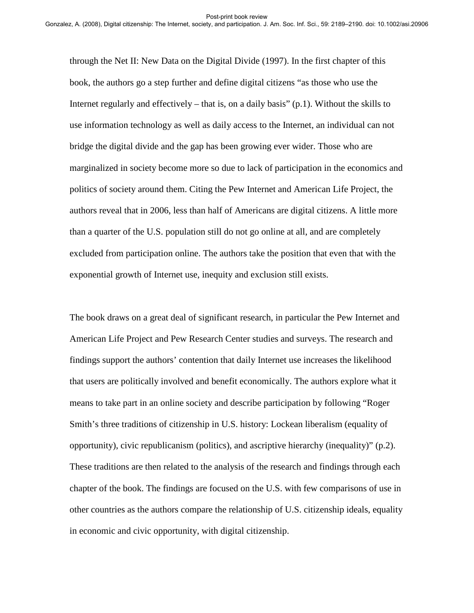through the Net II: New Data on the Digital Divide (1997). In the first chapter of this book, the authors go a step further and define digital citizens "as those who use the Internet regularly and effectively – that is, on a daily basis"  $(p,1)$ . Without the skills to use information technology as well as daily access to the Internet, an individual can not bridge the digital divide and the gap has been growing ever wider. Those who are marginalized in society become more so due to lack of participation in the economics and politics of society around them. Citing the Pew Internet and American Life Project, the authors reveal that in 2006, less than half of Americans are digital citizens. A little more than a quarter of the U.S. population still do not go online at all, and are completely excluded from participation online. The authors take the position that even that with the exponential growth of Internet use, inequity and exclusion still exists.

The book draws on a great deal of significant research, in particular the Pew Internet and American Life Project and Pew Research Center studies and surveys. The research and findings support the authors' contention that daily Internet use increases the likelihood that users are politically involved and benefit economically. The authors explore what it means to take part in an online society and describe participation by following "Roger Smith's three traditions of citizenship in U.S. history: Lockean liberalism (equality of opportunity), civic republicanism (politics), and ascriptive hierarchy (inequality)" (p.2). These traditions are then related to the analysis of the research and findings through each chapter of the book. The findings are focused on the U.S. with few comparisons of use in other countries as the authors compare the relationship of U.S. citizenship ideals, equality in economic and civic opportunity, with digital citizenship.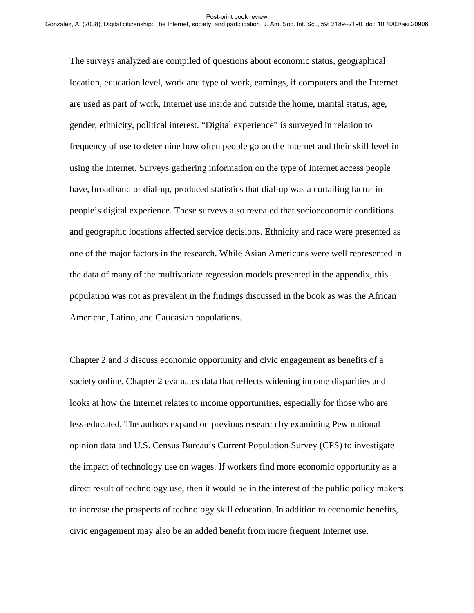The surveys analyzed are compiled of questions about economic status, geographical location, education level, work and type of work, earnings, if computers and the Internet are used as part of work, Internet use inside and outside the home, marital status, age, gender, ethnicity, political interest. "Digital experience" is surveyed in relation to frequency of use to determine how often people go on the Internet and their skill level in using the Internet. Surveys gathering information on the type of Internet access people have, broadband or dial-up, produced statistics that dial-up was a curtailing factor in people's digital experience. These surveys also revealed that socioeconomic conditions and geographic locations affected service decisions. Ethnicity and race were presented as one of the major factors in the research. While Asian Americans were well represented in the data of many of the multivariate regression models presented in the appendix, this population was not as prevalent in the findings discussed in the book as was the African American, Latino, and Caucasian populations.

Chapter 2 and 3 discuss economic opportunity and civic engagement as benefits of a society online. Chapter 2 evaluates data that reflects widening income disparities and looks at how the Internet relates to income opportunities, especially for those who are less-educated. The authors expand on previous research by examining Pew national opinion data and U.S. Census Bureau's Current Population Survey (CPS) to investigate the impact of technology use on wages. If workers find more economic opportunity as a direct result of technology use, then it would be in the interest of the public policy makers to increase the prospects of technology skill education. In addition to economic benefits, civic engagement may also be an added benefit from more frequent Internet use.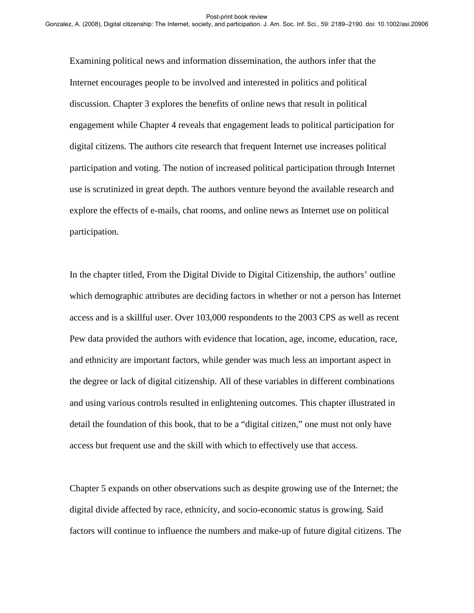Examining political news and information dissemination, the authors infer that the Internet encourages people to be involved and interested in politics and political discussion. Chapter 3 explores the benefits of online news that result in political engagement while Chapter 4 reveals that engagement leads to political participation for digital citizens. The authors cite research that frequent Internet use increases political participation and voting. The notion of increased political participation through Internet use is scrutinized in great depth. The authors venture beyond the available research and explore the effects of e-mails, chat rooms, and online news as Internet use on political participation.

In the chapter titled, From the Digital Divide to Digital Citizenship, the authors' outline which demographic attributes are deciding factors in whether or not a person has Internet access and is a skillful user. Over 103,000 respondents to the 2003 CPS as well as recent Pew data provided the authors with evidence that location, age, income, education, race, and ethnicity are important factors, while gender was much less an important aspect in the degree or lack of digital citizenship. All of these variables in different combinations and using various controls resulted in enlightening outcomes. This chapter illustrated in detail the foundation of this book, that to be a "digital citizen," one must not only have access but frequent use and the skill with which to effectively use that access.

Chapter 5 expands on other observations such as despite growing use of the Internet; the digital divide affected by race, ethnicity, and socio-economic status is growing. Said factors will continue to influence the numbers and make-up of future digital citizens. The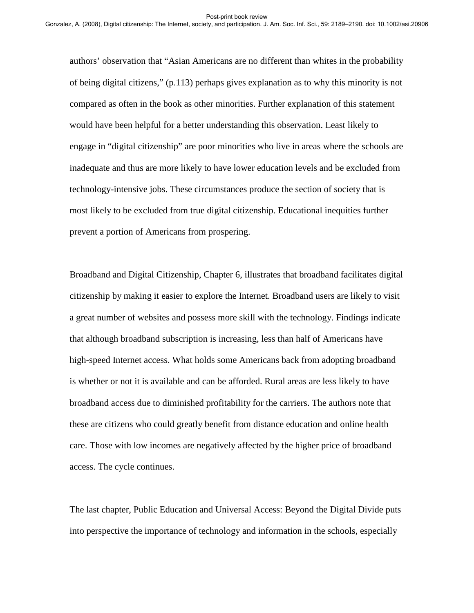authors' observation that "Asian Americans are no different than whites in the probability of being digital citizens," (p.113) perhaps gives explanation as to why this minority is not compared as often in the book as other minorities. Further explanation of this statement would have been helpful for a better understanding this observation. Least likely to engage in "digital citizenship" are poor minorities who live in areas where the schools are inadequate and thus are more likely to have lower education levels and be excluded from technology-intensive jobs. These circumstances produce the section of society that is most likely to be excluded from true digital citizenship. Educational inequities further prevent a portion of Americans from prospering.

Broadband and Digital Citizenship, Chapter 6, illustrates that broadband facilitates digital citizenship by making it easier to explore the Internet. Broadband users are likely to visit a great number of websites and possess more skill with the technology. Findings indicate that although broadband subscription is increasing, less than half of Americans have high-speed Internet access. What holds some Americans back from adopting broadband is whether or not it is available and can be afforded. Rural areas are less likely to have broadband access due to diminished profitability for the carriers. The authors note that these are citizens who could greatly benefit from distance education and online health care. Those with low incomes are negatively affected by the higher price of broadband access. The cycle continues.

The last chapter, Public Education and Universal Access: Beyond the Digital Divide puts into perspective the importance of technology and information in the schools, especially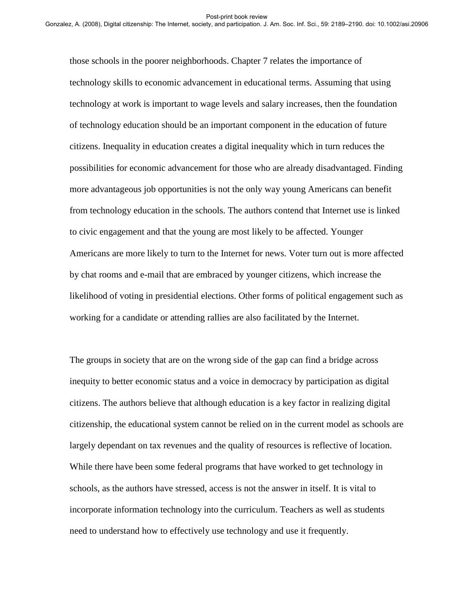those schools in the poorer neighborhoods. Chapter 7 relates the importance of technology skills to economic advancement in educational terms. Assuming that using technology at work is important to wage levels and salary increases, then the foundation of technology education should be an important component in the education of future citizens. Inequality in education creates a digital inequality which in turn reduces the possibilities for economic advancement for those who are already disadvantaged. Finding more advantageous job opportunities is not the only way young Americans can benefit from technology education in the schools. The authors contend that Internet use is linked to civic engagement and that the young are most likely to be affected. Younger Americans are more likely to turn to the Internet for news. Voter turn out is more affected by chat rooms and e-mail that are embraced by younger citizens, which increase the likelihood of voting in presidential elections. Other forms of political engagement such as working for a candidate or attending rallies are also facilitated by the Internet.

The groups in society that are on the wrong side of the gap can find a bridge across inequity to better economic status and a voice in democracy by participation as digital citizens. The authors believe that although education is a key factor in realizing digital citizenship, the educational system cannot be relied on in the current model as schools are largely dependant on tax revenues and the quality of resources is reflective of location. While there have been some federal programs that have worked to get technology in schools, as the authors have stressed, access is not the answer in itself. It is vital to incorporate information technology into the curriculum. Teachers as well as students need to understand how to effectively use technology and use it frequently.